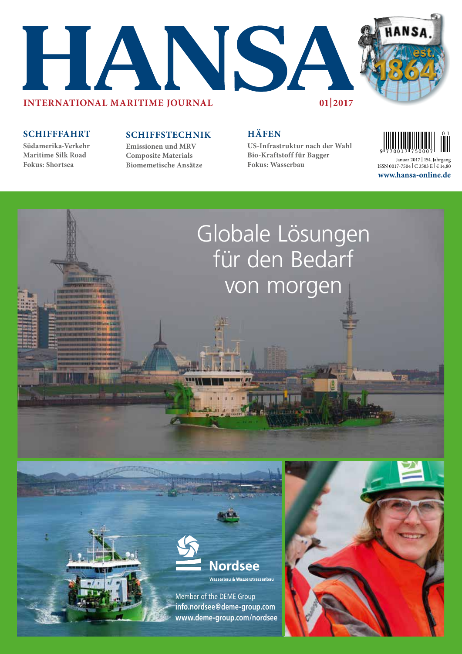



### **SCHIFFFAHRT**

**Südamerika-Verkehr Maritime Silk Road Fokus: Shortsea**

## **SCHIFFSTECHNIK**

**Emissionen und MRV Composite Materials Biomemetische Ansätze**

# **HÄFEN**

**US-Infrastruktur nach der Wahl Bio-Kraftstoff für Bagger Fokus: Wasserbau**



**www.hansa-online.de** Januar 2017 | 154.Jahrgang ISSN 0017-7504 | C 3503 E | € 14,80





Member of the DEME Group **info.nordsee@deme-group.com www.deme-group.com/nordsee**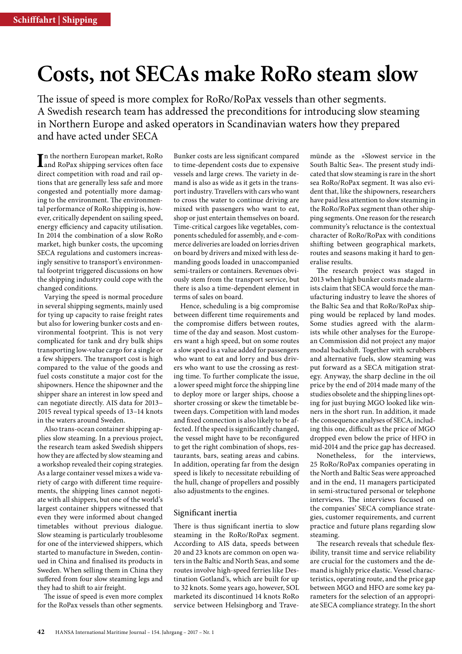# **Costs, not SECAs make RoRo steam slow**

The issue of speed is more complex for RoRo/RoPax vessels than other segments. A Swedish research team has addressed the preconditions for introducing slow steaming in Northern Europe and asked operators in Scandinavian waters how they prepared and have acted under SECA

In the northern European market, RoRo<br>
and RoPax shipping services often face<br>
is a throughout the service of the state of the services and RoPax shipping services often face direct competition with road and rail options that are generally less safe and more congested and potentially more damaging to the environment. The environmental performance of RoRo shipping is, however, critically dependent on sailing speed, energy efficiency and capacity utilisation. In 2014 the combination of a slow RoRo market, high bunker costs, the upcoming SECA regulations and customers increasingly sensitive to transport's environmental footprint triggered discussions on how the shipping industry could cope with the changed conditions.

Varying the speed is normal procedure in several shipping segments, mainly used for tying up capacity to raise freight rates but also for lowering bunker costs and environmental footprint. This is not very complicated for tank and dry bulk ships transporting low-value cargo for a single or a few shippers. The transport cost is high compared to the value of the goods and fuel costs constitute a major cost for the shipowners. Hence the shipowner and the shipper share an interest in low speed and can negotiate directly. AIS data for 2013– 2015 reveal typical speeds of 13–14 knots in the waters around Sweden.

Also trans-ocean container shipping applies slow steaming. In a previous project, the research team asked Swedish shippers how they are affected by slow steaming and a workshop revealed their coping strategies. As a large container vessel mixes a wide variety of cargo with different time requirements, the shipping lines cannot negotiate with all shippers, but one of the world's largest container shippers witnessed that even they were informed about changed timetables without previous dialogue. Slow steaming is particularly troublesome for one of the interviewed shippers, which started to manufacture in Sweden, continued in China and finalised its products in Sweden. When selling them in China they suffered from four slow steaming legs and they had to shift to air freight.

The issue of speed is even more complex for the RoPax vessels than other segments.

Bunker costs are less significant compared to time-dependent costs due to expensive vessels and large crews. The variety in demand is also as wide as it gets in the transport industry. Travellers with cars who want to cross the water to continue driving are mixed with passengers who want to eat, shop or just entertain themselves on board. Time-critical cargoes like vegetables, components scheduled for assembly, and e-commerce deliveries are loaded on lorries driven on board by drivers and mixed with less demanding goods loaded in unaccompanied semi-trailers or containers. Revenues obviously stem from the transport service, but there is also a time-dependent element in terms of sales on board.

Hence, scheduling is a big compromise between different time requirements and the compromise differs between routes, time of the day and season. Most customers want a high speed, but on some routes a slow speed is a value added for passengers who want to eat and lorry and bus drivers who want to use the crossing as resting time. To further complicate the issue, a lower speed might force the shipping line to deploy more or larger ships, choose a shorter crossing or skew the timetable between days. Competition with land modes and fixed connection is also likely to be affected. If the speed is significantly changed, the vessel might have to be reconfigured to get the right combination of shops, restaurants, bars, seating areas and cabins. In addition, operating far from the design speed is likely to necessitate rebuilding of the hull, change of propellers and possibly also adjustments to the engines.

### Significant inertia

There is thus significant inertia to slow steaming in the RoRo/RoPax segment. According to AIS data, speeds between 20 and 23 knots are common on open waters in the Baltic and North Seas, and some routes involve high-speed ferries like Destination Gotland's, which are built for up to 32 knots. Some years ago, however, SOL marketed its discontinued 14 knots RoRo service between Helsingborg and Travemünde as the »Slowest service in the South Baltic Sea«. The present study indicated that slow steaming is rare in the short sea RoRo/RoPax segment. It was also evident that, like the shipowners, researchers have paid less attention to slow steaming in the RoRo/RoPax segment than other shipping segments. One reason for the research community's reluctance is the contextual character of RoRo/RoPax with conditions shifting between geographical markets, routes and seasons making it hard to generalise results.

The research project was staged in 2013 when high bunker costs made alarmists claim that SECA would force the manufacturing industry to leave the shores of the Baltic Sea and that RoRo/RoPax shipping would be replaced by land modes. Some studies agreed with the alarmists while other analyses for the European Commission did not project any major modal backshift. Together with scrubbers and alternative fuels, slow steaming was put forward as a SECA mitigation strategy. Anyway, the sharp decline in the oil price by the end of 2014 made many of the studies obsolete and the shipping lines opting for just buying MGO looked like winners in the short run. In addition, it made the consequence analyses of SECA, including this one, difficult as the price of MGO dropped even below the price of HFO in mid-2014 and the price gap has decreased.

Nonetheless, for the interviews, 25 RoRo/RoPax companies operating in the North and Baltic Seas were approached and in the end, 11 managers participated in semi-structured personal or telephone interviews. The interviews focused on the companies' SECA compliance strategies, customer requirements, and current practice and future plans regarding slow steaming.

The research reveals that schedule flexibility, transit time and service reliability are crucial for the customers and the demand is highly price elastic. Vessel characteristics, operating route, and the price gap between MGO and HFO are some key parameters for the selection of an appropriate SECA compliance strategy. In the short